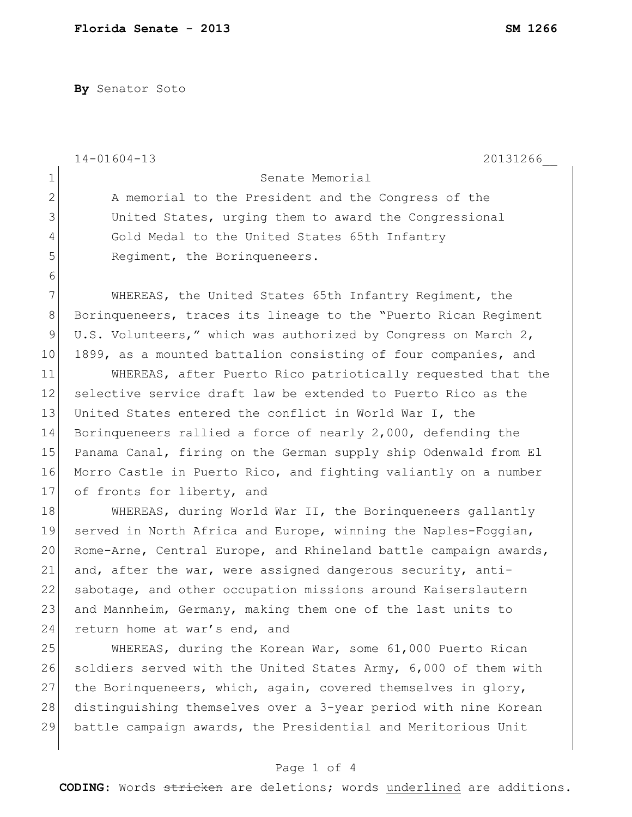**By** Senator Soto

|              | $14 - 01604 - 13$<br>20131266                                    |
|--------------|------------------------------------------------------------------|
| $\mathbf 1$  | Senate Memorial                                                  |
| $\mathbf{2}$ | A memorial to the President and the Congress of the              |
| 3            | United States, urging them to award the Congressional            |
| 4            | Gold Medal to the United States 65th Infantry                    |
| 5            | Regiment, the Borinqueneers.                                     |
| 6            |                                                                  |
| 7            | WHEREAS, the United States 65th Infantry Regiment, the           |
| 8            | Borinqueneers, traces its lineage to the "Puerto Rican Regiment  |
| $\mathsf 9$  | U.S. Volunteers," which was authorized by Congress on March 2,   |
| 10           | 1899, as a mounted battalion consisting of four companies, and   |
| 11           | WHEREAS, after Puerto Rico patriotically requested that the      |
| 12           | selective service draft law be extended to Puerto Rico as the    |
| 13           | United States entered the conflict in World War I, the           |
| 14           | Borinqueneers rallied a force of nearly 2,000, defending the     |
| 15           | Panama Canal, firing on the German supply ship Odenwald from El  |
| 16           | Morro Castle in Puerto Rico, and fighting valiantly on a number  |
| 17           | of fronts for liberty, and                                       |
| 18           | WHEREAS, during World War II, the Borinqueneers gallantly        |
| 19           | served in North Africa and Europe, winning the Naples-Foggian,   |
| 20           | Rome-Arne, Central Europe, and Rhineland battle campaign awards, |
| 21           | and, after the war, were assigned dangerous security, anti-      |
| 22           | sabotage, and other occupation missions around Kaiserslautern    |
| 23           | and Mannheim, Germany, making them one of the last units to      |
| 24           | return home at war's end, and                                    |
| 25           | WHEREAS, during the Korean War, some 61,000 Puerto Rican         |
| 26           | soldiers served with the United States Army, 6,000 of them with  |
| 27           | the Borinqueneers, which, again, covered themselves in glory,    |
| 28           | distinguishing themselves over a 3-year period with nine Korean  |
| 29           | battle campaign awards, the Presidential and Meritorious Unit    |
|              |                                                                  |

## Page 1 of 4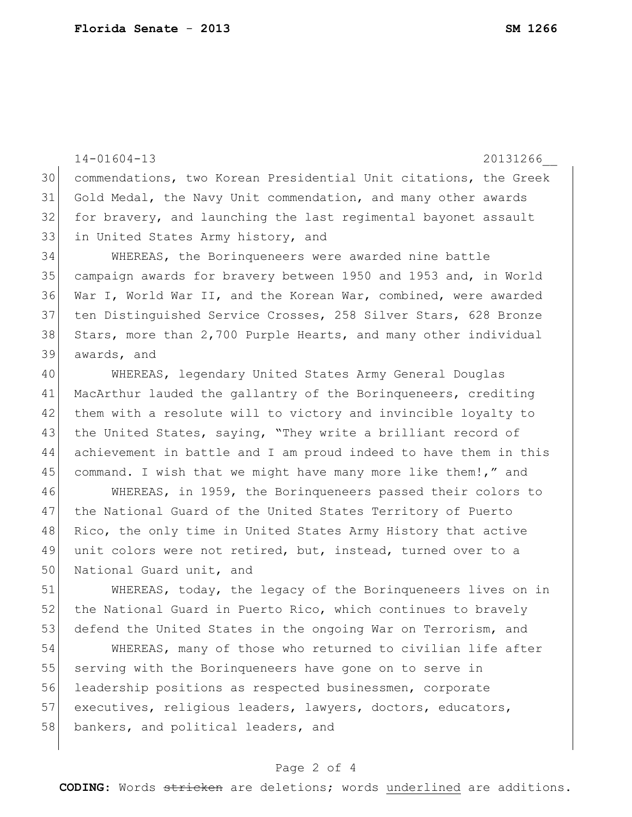30 commendations, two Korean Presidential Unit citations, the Greek 31 Gold Medal, the [Navy Unit commendation,](http://en.wikipedia.org/wiki/Navy_Unit_Commendation) and many other awards 32 for bravery, and launching the last regimental bayonet assault 33 in United States Army history, and 34 WHEREAS, the Borinqueneers were awarded nine battle 35 campaign awards for bravery between 1950 and 1953 and, in World 36 War I, World War II, and the Korean War, combined, were awarded 37 ten Distinguished Service Crosses, 258 Silver Stars, 628 Bronze 38 Stars, more than 2,700 Purple Hearts, and many other individual 39 awards, and 40 WHEREAS, legendary United States Army General Douglas 41 MacArthur lauded the gallantry of the Borinqueneers, crediting 42 them with a resolute will to victory and invincible loyalty to 43 the United States, saying, "They write a brilliant record of 44 achievement in battle and I am proud indeed to have them in this 45 command. I wish that we might have many more like them!," and 46 WHEREAS, in 1959, the Borinqueneers passed their colors to 47 | the National Guard of the United States Territory of Puerto 48 Rico, the only time in United States Army History that active 49 unit colors were not retired, but, instead, turned over to a 50 National Guard unit, and 51 WHEREAS, today, the legacy of the Borinqueneers lives on in 52 the National Guard in Puerto Rico, which continues to bravely 53 defend the United States in the ongoing War on Terrorism, and 54 WHEREAS, many of those who returned to civilian life after 55 serving with the Borinqueneers have gone on to serve in 56 leadership positions as respected businessmen, corporate 57 executives, religious leaders, lawyers, doctors, educators, 58 bankers, and political leaders, and

14-01604-13 20131266\_\_

## Page 2 of 4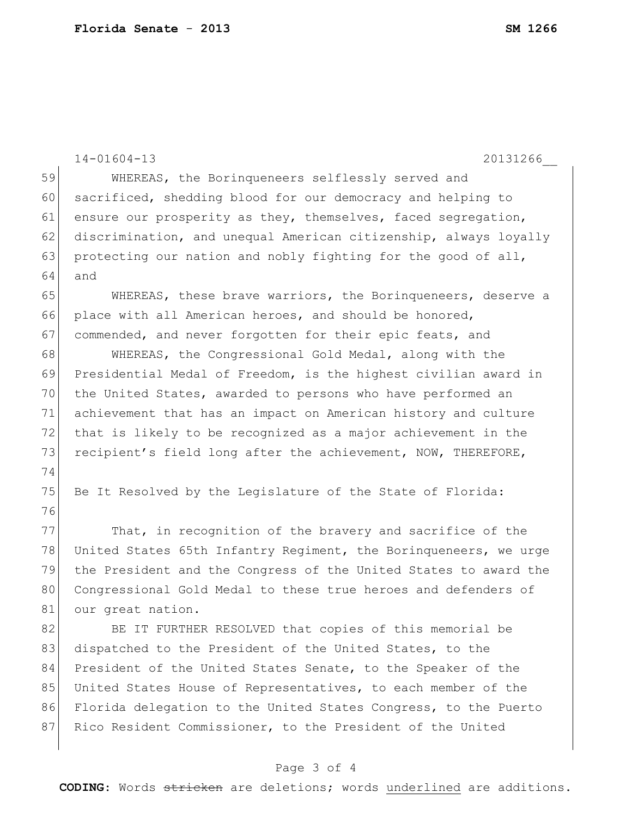|    | $14 - 01604 - 13$<br>20131266                                    |
|----|------------------------------------------------------------------|
| 59 | WHEREAS, the Borinqueneers selflessly served and                 |
| 60 | sacrificed, shedding blood for our democracy and helping to      |
| 61 | ensure our prosperity as they, themselves, faced segregation,    |
| 62 | discrimination, and unequal American citizenship, always loyally |
| 63 | protecting our nation and nobly fighting for the good of all,    |
| 64 | and                                                              |
| 65 | WHEREAS, these brave warriors, the Borinqueneers, deserve a      |
| 66 | place with all American heroes, and should be honored,           |
| 67 | commended, and never forgotten for their epic feats, and         |
| 68 | WHEREAS, the Congressional Gold Medal, along with the            |
| 69 | Presidential Medal of Freedom, is the highest civilian award in  |
| 70 | the United States, awarded to persons who have performed an      |
| 71 | achievement that has an impact on American history and culture   |
| 72 | that is likely to be recognized as a major achievement in the    |
| 73 | recipient's field long after the achievement, NOW, THEREFORE,    |
| 74 |                                                                  |
| 75 | Be It Resolved by the Legislature of the State of Florida:       |
| 76 |                                                                  |
| 77 | That, in recognition of the bravery and sacrifice of the         |
| 78 | United States 65th Infantry Regiment, the Borinqueneers, we urge |
| 79 | the President and the Congress of the United States to award the |
| 80 | Congressional Gold Medal to these true heroes and defenders of   |
| 81 | our great nation.                                                |
| 82 | BE IT FURTHER RESOLVED that copies of this memorial be           |
| 83 | dispatched to the President of the United States, to the         |
| 84 | President of the United States Senate, to the Speaker of the     |
| 85 | United States House of Representatives, to each member of the    |
| 86 | Florida delegation to the United States Congress, to the Puerto  |
| 87 | Rico Resident Commissioner, to the President of the United       |
|    |                                                                  |

## Page 3 of 4